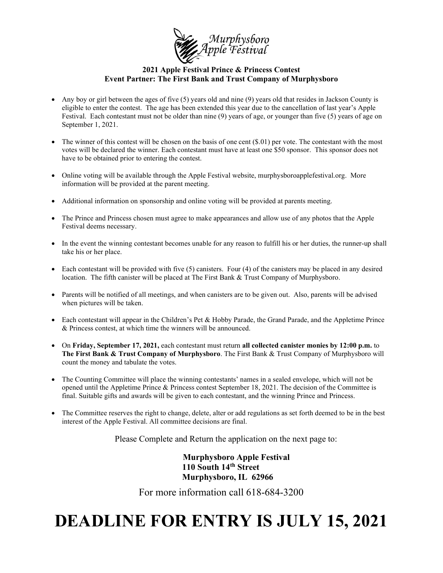

## 2021 Apple Festival Prince & Princess Contest Event Partner: The First Bank and Trust Company of Murphysboro

- Any boy or girl between the ages of five (5) years old and nine (9) years old that resides in Jackson County is eligible to enter the contest. The age has been extended this year due to the cancellation of last year's Apple Festival. Each contestant must not be older than nine (9) years of age, or younger than five (5) years of age on September 1, 2021.
- The winner of this contest will be chosen on the basis of one cent (\$.01) per vote. The contestant with the most votes will be declared the winner. Each contestant must have at least one \$50 sponsor. This sponsor does not have to be obtained prior to entering the contest.
- Online voting will be available through the Apple Festival website, murphysboroapplefestival.org. More information will be provided at the parent meeting.
- Additional information on sponsorship and online voting will be provided at parents meeting.
- The Prince and Princess chosen must agree to make appearances and allow use of any photos that the Apple Festival deems necessary.
- In the event the winning contestant becomes unable for any reason to fulfill his or her duties, the runner-up shall take his or her place.
- $\bullet$  Each contestant will be provided with five (5) canisters. Four (4) of the canisters may be placed in any desired location. The fifth canister will be placed at The First Bank & Trust Company of Murphysboro.
- Parents will be notified of all meetings, and when canisters are to be given out. Also, parents will be advised when pictures will be taken.
- Each contestant will appear in the Children's Pet & Hobby Parade, the Grand Parade, and the Appletime Prince & Princess contest, at which time the winners will be announced.
- On Friday, September 17, 2021, each contestant must return all collected canister monies by 12:00 p.m. to The First Bank & Trust Company of Murphysboro. The First Bank & Trust Company of Murphysboro will count the money and tabulate the votes.
- The Counting Committee will place the winning contestants' names in a sealed envelope, which will not be opened until the Appletime Prince & Princess contest September 18, 2021. The decision of the Committee is final. Suitable gifts and awards will be given to each contestant, and the winning Prince and Princess.
- The Committee reserves the right to change, delete, alter or add regulations as set forth deemed to be in the best interest of the Apple Festival. All committee decisions are final.

Please Complete and Return the application on the next page to:

 Murphysboro Apple Festival 110 South 14th Street Murphysboro, IL 62966

For more information call 618-684-3200

## DEADLINE FOR ENTRY IS JULY 15, 2021